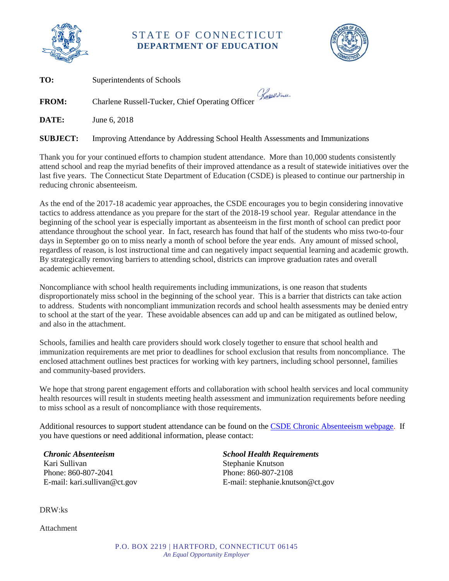

## STATE OF CONNECTICUT **DEPARTMENT OF EDUCATION**



**TO:** Superintendents of Schools

**FROM:** Charlene Russell-Tucker, Chief Operating Officer *Lasell divide* 

**DATE:** June 6, 2018

**SUBJECT:** Improving Attendance by Addressing School Health Assessments and Immunizations

Thank you for your continued efforts to champion student attendance. More than 10,000 students consistently attend school and reap the myriad benefits of their improved attendance as a result of statewide initiatives over the last five years. The Connecticut State Department of Education (CSDE) is pleased to continue our partnership in reducing chronic absenteeism.

As the end of the 2017-18 academic year approaches, the CSDE encourages you to begin considering innovative tactics to address attendance as you prepare for the start of the 2018-19 school year. Regular attendance in the beginning of the school year is especially important as absenteeism in the first month of school can predict poor attendance throughout the school year. In fact, research has found that half of the students who miss two-to-four days in September go on to miss nearly a month of school before the year ends. Any amount of missed school, regardless of reason, is lost instructional time and can negatively impact sequential learning and academic growth. By strategically removing barriers to attending school, districts can improve graduation rates and overall academic achievement.

Noncompliance with school health requirements including immunizations, is one reason that students disproportionately miss school in the beginning of the school year. This is a barrier that districts can take action to address. Students with noncompliant immunization records and school health assessments may be denied entry to school at the start of the year. These avoidable absences can add up and can be mitigated as outlined below, and also in the attachment.

Schools, families and health care providers should work closely together to ensure that school health and immunization requirements are met prior to deadlines for school exclusion that results from noncompliance. The enclosed attachment outlines best practices for working with key partners, including school personnel, families and community-based providers.

We hope that strong parent engagement efforts and collaboration with school health services and local community health resources will result in students meeting health assessment and immunization requirements before needing to miss school as a result of noncompliance with those requirements.

Additional resources to support student attendance can be found on the [CSDE Chronic Absenteeism webpage.](http://portal.ct.gov/SDE/Chronic-Absence/Chronic-Absence) If you have questions or need additional information, please contact:

*Chronic Absenteeism* Kari Sullivan Phone: 860-807-2041 E-mail: kari.sullivan@ct.gov *School Health Requirements* Stephanie Knutson Phone: 860-807-2108 E-mail: stephanie.knutson@ct.gov

DRW:ks

Attachment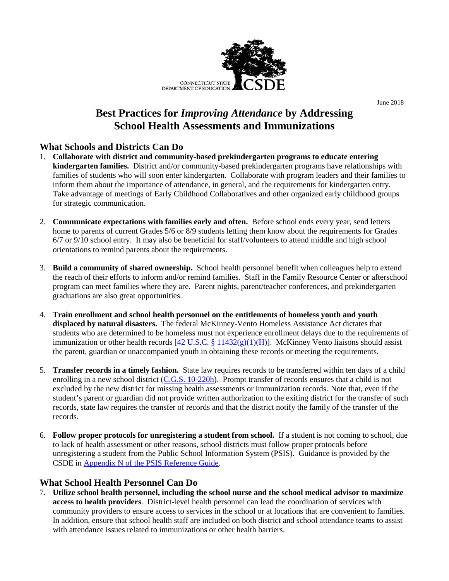

# **Best Practices for** *Improving Attendance* **by Addressing School Health Assessments and Immunizations**

### **What Schools and Districts Can Do**

- 1. **Collaborate with district and community-based prekindergarten programs to educate entering kindergarten families.** District and/or community-based prekindergarten programs have relationships with families of students who will soon enter kindergarten. Collaborate with program leaders and their families to inform them about the importance of attendance, in general, and the requirements for kindergarten entry. Take advantage of meetings of Early Childhood Collaboratives and other organized early childhood groups for strategic communication.
- 2. **Communicate expectations with families early and often.** Before school ends every year, send letters home to parents of current Grades 5/6 or 8/9 students letting them know about the requirements for Grades  $6/7$  or  $9/10$  school entry. It may also be beneficial for staff/volunteers to attend middle and high school orientations to remind parents about the requirements.
- 3. **Build a community of shared ownership.** School health personnel benefit when colleagues help to extend the reach of their efforts to inform and/or remind families. Staff in the Family Resource Center or afterschool program can meet families where they are. Parent nights, parent/teacher conferences, and prekindergarten graduations are also great opportunities.
- 4. **Train enrollment and school health personnel on the entitlements of homeless youth and youth displaced by natural disasters.** The federal McKinney-Vento Homeless Assistance Act dictates that students who are determined to be homeless must not experience enrollment delays due to the requirements of immunization or other health records  $[42 \text{ U.S.C.} \frac{8}{2} \frac{11432(g)(1)(\text{H})}{1}$ . McKinney Vento liaisons should assist the parent, guardian or unaccompanied youth in obtaining these records or meeting the requirements.
- 5. **Transfer records in a timely fashion.** State law requires records to be transferred within ten days of a child enrolling in a new school district [\(C.G.S. 10-220h\)](https://www.cga.ct.gov/2017/pub/chap_170.htm#sec_10-220h). Prompt transfer of records ensures that a child is not excluded by the new district for missing health assessments or immunization records. Note that, even if the student's parent or guardian did not provide written authorization to the exiting district for the transfer of such records, state law requires the transfer of records and that the district notify the family of the transfer of the records.
- 6. **Follow proper protocols for unregistering a student from school.** If a student is not coming to school, due to lack of health assessment or other reasons, school districts must follow proper protocols before unregistering a student from the Public School Information System (PSIS). Guidance is provided by the CSDE in [Appendix N of the PSIS](http://portal.ct.gov/SDE/Performance/Data-Collection-Help-Sites/PSIS-Help-Site/Documentation) Reference Guide.

## **What School Health Personnel Can Do**

7. **Utilize school health personnel, including the school nurse and the school medical advisor to maximize access to health providers**. District-level health personnel can lead the coordination of services with community providers to ensure access to services in the school or at locations that are convenient to families. In addition, ensure that school health staff are included on both district and school attendance teams to assist with attendance issues related to immunizations or other health barriers.